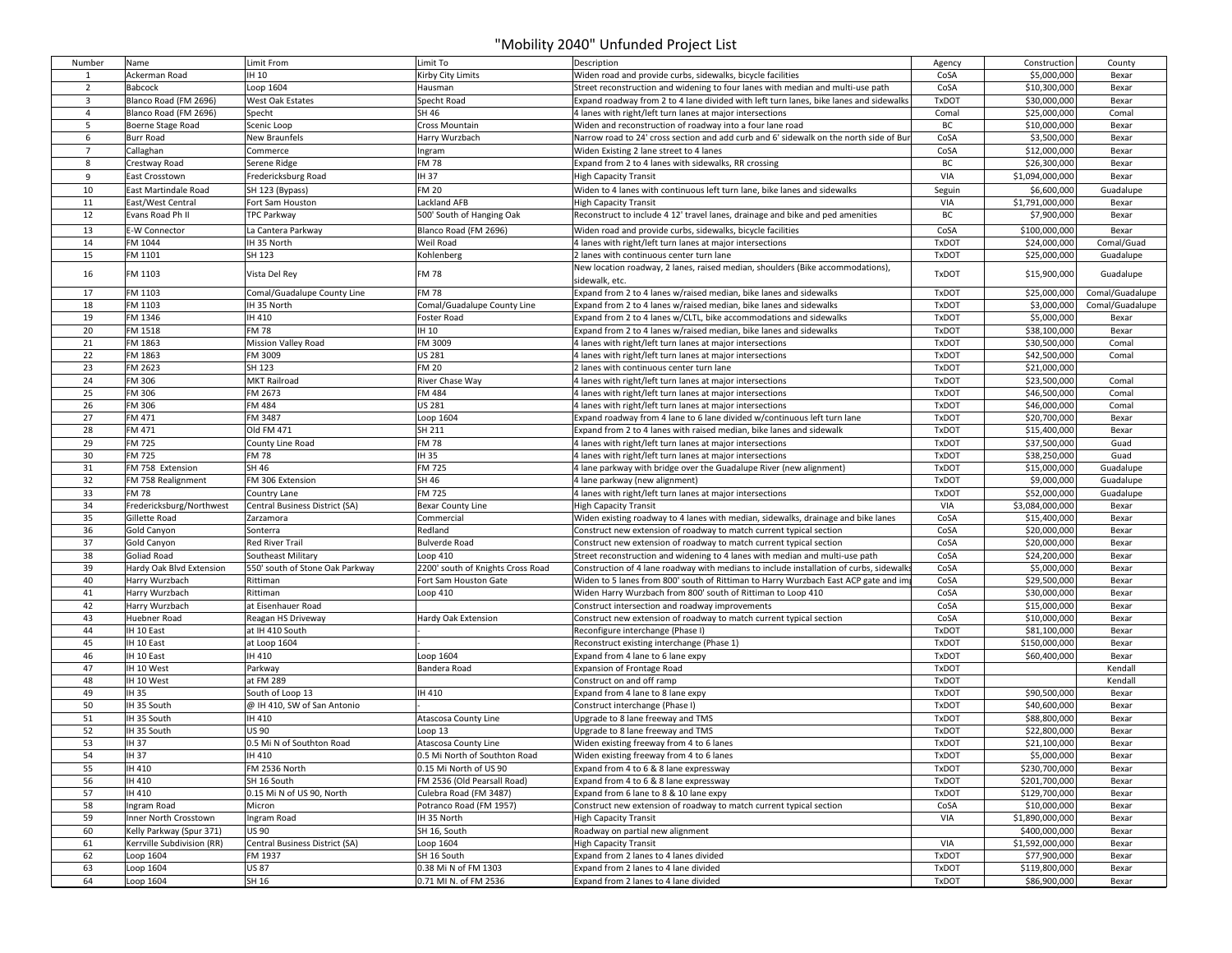## "Mobility 2040" Unfunded Project List

| Number         | Name                       | Limit From                      | Limit To                          | Description                                                                             | Agency       | Construction    | County          |
|----------------|----------------------------|---------------------------------|-----------------------------------|-----------------------------------------------------------------------------------------|--------------|-----------------|-----------------|
| 1              | Ackerman Road              | IH 10                           | Kirby City Limits                 | Widen road and provide curbs, sidewalks, bicycle facilities                             | CoSA         | \$5,000,000     | Bexar           |
| $\overline{2}$ | Babcock                    | Loop 1604                       | Hausman                           | Street reconstruction and widening to four lanes with median and multi-use path         | CoSA         | \$10,300,000    | Bexar           |
| 3              | Blanco Road (FM 2696)      | West Oak Estates                | Specht Road                       | Expand roadway from 2 to 4 lane divided with left turn lanes, bike lanes and sidewalks  | <b>TxDOT</b> | \$30,000,000    | Bexar           |
| $\overline{4}$ | Blanco Road (FM 2696)      | Specht                          | SH 46                             | 4 lanes with right/left turn lanes at major intersections                               | Comal        | \$25,000,000    | Comal           |
| 5              | Boerne Stage Road          | Scenic Loop                     | Cross Mountain                    | Widen and reconstruction of roadway into a four lane road                               | BC           | \$10,000,000    | Bexar           |
| 6              | <b>Burr Road</b>           | New Braunfels                   | Harry Wurzbach                    | Narrow road to 24' cross section and add curb and 6' sidewalk on the north side of Bur  | CoSA         | \$3,500,000     | Bexar           |
| $\overline{7}$ | Callaghan                  | Commerce                        | Ingram                            | Widen Existing 2 lane street to 4 lanes                                                 | CoSA         | \$12,000,000    | Bexar           |
|                |                            |                                 |                                   |                                                                                         |              |                 |                 |
| 8              | Crestway Road              | Serene Ridge                    | <b>FM78</b>                       | Expand from 2 to 4 lanes with sidewalks, RR crossing                                    | BC           | \$26,300,000    | Bexar           |
| 9              | East Crosstown             | Fredericksburg Road             | IH 37                             | <b>High Capacity Transit</b>                                                            | VIA          | \$1,094,000,000 | Bexar           |
| 10             | East Martindale Road       | SH 123 (Bypass)                 | <b>FM 20</b>                      | Widen to 4 lanes with continuous left turn lane, bike lanes and sidewalks               | Seguin       | \$6,600,000     | Guadalupe       |
| 11             | East/West Central          | Fort Sam Houston                | Lackland AFB                      | <b>High Capacity Transit</b>                                                            | VIA          | \$1,791,000,000 | Bexar           |
| 12             | Evans Road Ph II           | <b>TPC Parkway</b>              | 500' South of Hanging Oak         | Reconstruct to include 4 12' travel lanes, drainage and bike and ped amenities          | BC           | \$7,900,000     | Bexar           |
| 13             | E-W Connector              | La Cantera Parkway              | Blanco Road (FM 2696)             | Widen road and provide curbs, sidewalks, bicycle facilities                             | CoSA         | \$100,000,000   | Bexar           |
| 14             | FM 1044                    | IH 35 North                     | Weil Road                         | 4 lanes with right/left turn lanes at major intersections                               | <b>TxDOT</b> | \$24,000,000    | Comal/Guad      |
| 15             | FM 1101                    | SH 123                          | Kohlenberg                        | 2 lanes with continuous center turn lane                                                | <b>TxDOT</b> | \$25,000,000    | Guadalupe       |
|                |                            |                                 |                                   | New location roadway, 2 lanes, raised median, shoulders (Bike accommodations),          |              |                 |                 |
| 16             | FM 1103                    | Vista Del Rey                   | <b>FM78</b>                       | sidewalk, etc.                                                                          | <b>TxDOT</b> | \$15,900,000    | Guadalupe       |
| 17             | FM 1103                    | Comal/Guadalupe County Line     | <b>FM78</b>                       | Expand from 2 to 4 lanes w/raised median, bike lanes and sidewalks                      | <b>TxDOT</b> | \$25,000,000    | Comal/Guadalupe |
| 18             | FM 1103                    | IH 35 North                     | Comal/Guadalupe County Line       | Expand from 2 to 4 lanes w/raised median, bike lanes and sidewalks                      | <b>TxDOT</b> | \$3,000,000     | Comal/Guadalupe |
| 19             | FM 1346                    | IH 410                          | Foster Road                       | Expand from 2 to 4 lanes w/CLTL, bike accommodations and sidewalks                      | <b>TxDOT</b> | \$5,000,000     | Bexar           |
| 20             | FM 1518                    | <b>FM 78</b>                    | IH 10                             | Expand from 2 to 4 lanes w/raised median, bike lanes and sidewalks                      | <b>TxDOT</b> | \$38,100,000    |                 |
| 21             | FM 1863                    |                                 | FM 3009                           |                                                                                         | <b>TxDOT</b> | \$30,500,000    | Bexar<br>Comal  |
|                |                            | Mission Valley Road             |                                   | 4 lanes with right/left turn lanes at major intersections                               |              |                 |                 |
| 22             | FM 1863                    | FM 3009                         | <b>US 281</b>                     | 4 lanes with right/left turn lanes at major intersections                               | <b>TxDOT</b> | \$42,500,000    | Comal           |
| 23             | FM 2623                    | SH 123                          | <b>FM 20</b>                      | 2 lanes with continuous center turn lane                                                | <b>TxDOT</b> | \$21,000,000    |                 |
| 24             | FM 306                     | <b>MKT Railroad</b>             | River Chase Way                   | 4 lanes with right/left turn lanes at major intersections                               | <b>TxDOT</b> | \$23,500,000    | Comal           |
| 25             | FM 306                     | FM 2673                         | FM 484                            | 4 lanes with right/left turn lanes at major intersections                               | <b>TxDOT</b> | \$46,500,000    | Comal           |
| 26             | FM 306                     | FM 484                          | <b>US 281</b>                     | 4 lanes with right/left turn lanes at major intersections                               | <b>TxDOT</b> | \$46,000,000    | Comal           |
| 27             | FM 471                     | FM 3487                         | Loop 1604                         | Expand roadway from 4 lane to 6 lane divided w/continuous left turn lane                | <b>TxDOT</b> | \$20,700,000    | Bexar           |
| 28             | FM 471                     | Old FM 471                      | SH 211                            | Expand from 2 to 4 lanes with raised median, bike lanes and sidewalk                    | <b>TxDOT</b> | \$15,400,000    | Bexar           |
| 29             | FM 725                     | County Line Road                | <b>FM78</b>                       | 4 lanes with right/left turn lanes at major intersections                               | <b>TxDOT</b> | \$37,500,000    | Guad            |
| 30             | <b>FM 725</b>              | <b>FM 78</b>                    | IH 35                             | 4 lanes with right/left turn lanes at major intersections                               | <b>TxDOT</b> | \$38,250,000    | Guad            |
| 31             | FM 758 Extension           | SH 46                           | <b>FM 725</b>                     | 4 lane parkway with bridge over the Guadalupe River (new alignment)                     | <b>TxDOT</b> | \$15,000,000    | Guadalupe       |
| 32             | FM 758 Realignment         | FM 306 Extension                | SH 46                             | 4 lane parkway (new alignment)                                                          | <b>TxDOT</b> | \$9,000,000     | Guadalupe       |
| 33             | <b>FM 78</b>               | Country Lane                    | <b>FM 725</b>                     | 4 lanes with right/left turn lanes at major intersections                               | <b>TxDOT</b> | \$52,000,000    | Guadalupe       |
| 34             | Fredericksburg/Northwest   | Central Business District (SA)  | <b>Bexar County Line</b>          | <b>High Capacity Transit</b>                                                            | VIA          | \$3,084,000,000 | Bexar           |
| 35             | Gillette Road              | Zarzamora                       | Commercial                        | Widen existing roadway to 4 lanes with median, sidewalks, drainage and bike lanes       | CoSA         | \$15,400,000    | Bexar           |
| 36             | Gold Canyon                | Sonterra                        | Redland                           | Construct new extension of roadway to match current typical section                     | CoSA         | \$20,000,000    | Bexar           |
| 37             | Gold Canyon                | <b>Red River Trail</b>          | <b>Bulverde Road</b>              | Construct new extension of roadway to match current typical section                     | CoSA         | \$20,000,000    | Bexar           |
| 38             | <b>Goliad Road</b>         | Southeast Military              | Loop 410                          | Street reconstruction and widening to 4 lanes with median and multi-use path            | CoSA         | \$24,200,000    | Bexar           |
| 39             | Hardy Oak Blvd Extension   | 550' south of Stone Oak Parkway | 2200' south of Knights Cross Road | Construction of 4 lane roadway with medians to include installation of curbs, sidewalks | CoSA         | \$5,000,000     | Bexar           |
| 40             | Harry Wurzbach             | Rittiman                        | Fort Sam Houston Gate             | Widen to 5 lanes from 800' south of Rittiman to Harry Wurzbach East ACP gate and im     | CoSA         | \$29,500,000    | Bexar           |
| 41             | Harry Wurzbach             | Rittiman                        | Loop 410                          | Widen Harry Wurzbach from 800' south of Rittiman to Loop 410                            | CoSA         | \$30,000,000    | Bexar           |
| 42             | Harry Wurzbach             | at Eisenhauer Road              |                                   | Construct intersection and roadway improvements                                         | CoSA         | \$15,000,000    | Bexar           |
| 43             | Huebner Road               | Reagan HS Driveway              | Hardy Oak Extension               | Construct new extension of roadway to match current typical section                     | CoSA         | \$10,000,000    | Bexar           |
| 44             | IH 10 East                 | at IH 410 South                 |                                   | Reconfigure interchange (Phase I)                                                       | <b>TxDOT</b> | \$81,100,000    | Bexar           |
| 45             | IH 10 East                 | at Loop 1604                    |                                   | Reconstruct existing interchange (Phase 1)                                              | <b>TxDOT</b> | \$150,000,000   | Bexar           |
| 46             | IH 10 East                 | IH 410                          | Loop 1604                         | Expand from 4 lane to 6 lane expy                                                       | <b>TxDOT</b> | \$60,400,000    | Bexar           |
| 47             | IH 10 West                 | Parkway                         | Bandera Road                      | Expansion of Frontage Road                                                              | <b>TxDOT</b> |                 | Kendall         |
| 48             | IH 10 West                 | at FM 289                       |                                   | Construct on and off ramp                                                               | <b>TxDOT</b> |                 | Kendall         |
| 49             | IH 35                      | South of Loop 13                | IH 410                            | Expand from 4 lane to 8 lane expy                                                       | <b>TxDOT</b> | \$90,500,000    | Bexar           |
| 50             | IH 35 South                | @ IH 410, SW of San Antonio     |                                   | Construct interchange (Phase I)                                                         | <b>TxDOT</b> | \$40,600,000    | Bexar           |
| 51             | IH 35 South                | IH 410                          | Atascosa County Line              | Upgrade to 8 lane freeway and TMS                                                       | <b>TxDOT</b> | \$88,800,000    | Bexar           |
| 52             | IH 35 South                | <b>US 90</b>                    |                                   |                                                                                         | <b>TxDOT</b> |                 |                 |
|                |                            |                                 | Loop 13                           | Upgrade to 8 lane freeway and TMS                                                       |              | \$22,800,000    | Bexar           |
| 53             | IH 37                      | 0.5 Mi N of Southton Road       | Atascosa County Line              | Widen existing freeway from 4 to 6 lanes                                                | <b>TxDOT</b> | \$21,100,000    | Bexar           |
| 54             | IH 37                      | IH 410                          | 0.5 Mi North of Southton Road     | Widen existing freeway from 4 to 6 lanes                                                | TxDOT        | \$5,000,000     | Bexar           |
| 55             | IH 410                     | FM 2536 North                   | 0.15 Mi North of US 90            | Expand from 4 to 6 & 8 lane expressway                                                  | <b>TxDOT</b> | \$230,700,000   | Bexar           |
| 56             | IH 410                     | SH 16 South                     | FM 2536 (Old Pearsall Road)       | Expand from 4 to 6 & 8 lane expressway                                                  | <b>TxDOT</b> | \$201,700,000   | Bexar           |
| 57             | IH 410                     | 0.15 Mi N of US 90, North       | Culebra Road (FM 3487)            | Expand from 6 lane to 8 & 10 lane expy                                                  | <b>TxDOT</b> | \$129,700,000   | Bexar           |
| 58             | Ingram Road                | Micron                          | Potranco Road (FM 1957)           | Construct new extension of roadway to match current typical section                     | CoSA         | \$10,000,000    | Bexar           |
| 59             | Inner North Crosstown      | Ingram Road                     | IH 35 North                       | <b>High Capacity Transit</b>                                                            | VIA          | \$1,890,000,000 | Bexar           |
| 60             | Kelly Parkway (Spur 371)   | <b>US 90</b>                    | SH 16, South                      | Roadway on partial new alignment                                                        |              | \$400,000,000   | Bexar           |
| 61             | Kerrville Subdivision (RR) | Central Business District (SA)  | Loop 1604                         | <b>High Capacity Transit</b>                                                            | VIA          | \$1,592,000,000 | Bexar           |
| 62             | Loop 1604                  | FM 1937                         | SH 16 South                       | Expand from 2 lanes to 4 lanes divided                                                  | <b>TxDOT</b> | \$77,900,000    | Bexar           |
| 63             | Loop 1604                  | <b>US 87</b>                    | 0.38 Mi N of FM 1303              | Expand from 2 lanes to 4 lane divided                                                   | <b>TxDOT</b> | \$119,800,000   | Bexar           |
| 64             | Loop 1604                  | SH 16                           | 0.71 MI N. of FM 2536             | Expand from 2 lanes to 4 lane divided                                                   | <b>TxDOT</b> | \$86,900,000    | Bexar           |